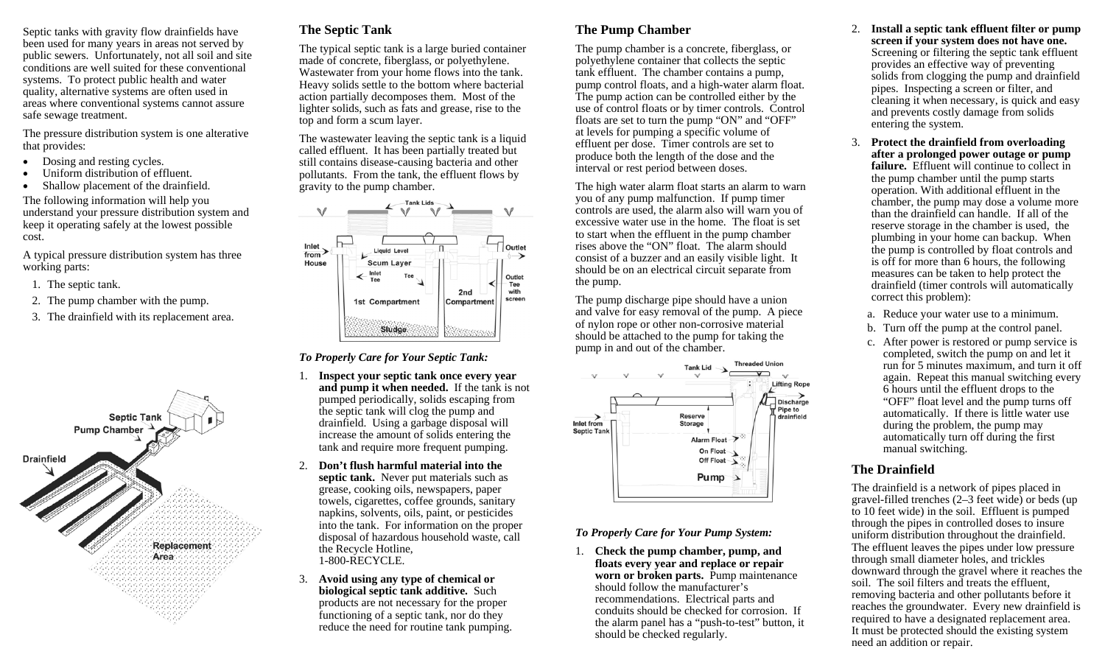Septic tanks with gravity flow drainfields have been used for many years in areas not served by public sewers. Unfortunately, not all soil and site conditions are well suited for these conventional systems. To protect public health and water quality, alternative systems are often used in areas where conventional systems cannot assure safe sewage treatment.

The pressure distribution system is one alterative that provides:

- $\bullet$ Dosing and resting cycles.
- $\bullet$ Uniform distribution of effluent.
- $\bullet$ Shallow placement of the drainfield.

The following information will help you understand your pressure distribution system and keep it operating safely at the lowest possible cost.

A typical pressure distribution system has three working parts:

- 1. The septic tank.
- 2. The pump chamber with the pump.
- 3. The drainfield with its replacement area.



## **The Septic Tank**

The typical septic tank is a large buried container made of concrete, fiberglass, or polyethylene. Wastewater from your home flows into the tank. Heavy solids settle to the bottom where bacterial action partially decomposes them. Most of the lighter solids, such as fats and grease, rise to the top and form a scum layer.

The wastewater leaving the septic tank is a liquid called effluent. It has been partially treated but still contains disease-causing bacteria and other pollutants. From the tank, the effluent flows by gravity to the pump chamber.



#### *To Properly Care for Your Septic Tank:*

- 1. **Inspect your septic tank once every year and pump it when needed.** If the tank is not pumped periodically, solids escaping from the septic tank will clog the pump and drainfield. Using a garbage disposal will increase the amount of solids entering the tank and require more frequent pumping.
- 2. **Don't flush harmful material into the septic tank.** Never put materials such as grease, cooking oils, newspapers, paper towels, cigarettes, coffee grounds, sanitary napkins, solvents, oils, paint, or pesticides into the tank. For information on the proper disposal of hazardous household waste, call the Recycle Hotline, 1-800-RECYCLE.
- 3. **Avoid using any type of chemical or biological septic tank additive.** Such products are not necessary for the proper functioning of a septic tank, nor do they reduce the need for routine tank pumping.

# **The Pump Chamber**

The pump chamber is a concrete, fiberglass, or polyethylene container that collects the septic tank effluent. The chamber contains a pump, pump control floats, and a high-water alarm float. The pump action can be controlled either by the use of control floats or by timer controls. Control floats are set to turn the pump "ON" and "OFF" at levels for pumping a specific volume of effluent per dose. Timer controls are set to produce both the length of the dose and the interval or rest period between doses.

The high water alarm float starts an alarm to warn you of any pump malfunction. If pump timer controls are used, the alarm also will warn you of excessive water use in the home. The float is set to start when the effluent in the pump chamber rises above the "ON" float. The alarm should consist of a buzzer and an easily visible light. It should be on an electrical circuit separate from the pump.

The pump discharge pipe should have a union and valve for easy removal of the pump. A piece of nylon rope or other non-corrosive material should be attached to the pump for taking the pump in and out of the chamber.



### *To Properly Care for Your Pump System:*

1. **Check the pump chamber, pump, and floats every year and replace or repair worn or broken parts.** Pump maintenance should follow the manufacturer's recommendations. Electrical parts and conduits should be checked for corrosion. If the alarm panel has a "push-to-test" button, it should be checked regularly.

- 2. **Install a septic tank effluent filter or pump screen if your system does not have one.**  Screening or filtering the septic tank effluent provides an effective way of preventing solids from clogging the pump and drainfield pipes. Inspecting a screen or filter, and cleaning it when necessary, is quick and easy and prevents costly damage from solids entering the system.
- 3. **Protect the drainfield from overloading after a prolonged power outage or pump failure.** Effluent will continue to collect in the pump chamber until the pump starts operation. With additional effluent in the chamber, the pump may dose a volume more than the drainfield can handle. If all of the reserve storage in the chamber is used, the plumbing in your home can backup. When the pump is controlled by float controls and is off for more than 6 hours, the following measures can be taken to help protect the drainfield (timer controls will automatically correct this problem):
	- a. Reduce your water use to a minimum.
	- b. Turn off the pump at the control panel.
	- c. After power is restored or pump service is completed, switch the pump on and let it run for 5 minutes maximum, and turn it off again. Repeat this manual switching every 6 hours until the effluent drops to the "OFF" float level and the pump turns off automatically. If there is little water use during the problem, the pump may automatically turn off during the first manual switching.

## **The Drainfield**

The drainfield is a network of pipes placed in gravel-filled trenches (2–3 feet wide) or beds (up to 10 feet wide) in the soil. Effluent is pumped through the pipes in controlled doses to insure uniform distribution throughout the drainfield. The effluent leaves the pipes under low pressure through small diameter holes, and trickles downward through the gravel where it reaches the soil. The soil filters and treats the effluent, removing bacteria and other pollutants before it reaches the groundwater. Every new drainfield is required to have a designated replacement area. It must be protected should the existing system need an addition or repair.